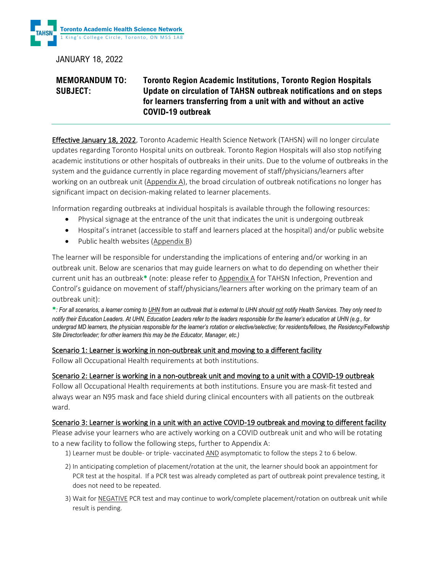

JANUARY 18, 2022

# **MEMORANDUM TO: Toronto Region Academic Institutions, Toronto Region Hospitals SUBJECT: Update on circulation of TAHSN outbreak notifications and on steps for learners transferring from a unit with and without an active COVID-19 outbreak**

Effective January 18, 2022, Toronto Academic Health Science Network (TAHSN) will no longer circulate updates regarding Toronto Hospital units on outbreak. Toronto Region Hospitals will also stop notifying academic institutions or other hospitals of outbreaks in their units. Due to the volume of outbreaks in the system and the guidance currently in place regarding movement of staff/physicians/learners after working on an outbreak unit [\(Appendix A\)](#page-2-0), the broad circulation of outbreak notifications no longer has significant impact on decision-making related to learner placements.

Information regarding outbreaks at individual hospitals is available through the following resources:

- Physical signage at the entrance of the unit that indicates the unit is undergoing outbreak
- Hospital's intranet (accessible to staff and learners placed at the hospital) and/or public website
- Public health websites (Appendix B)

The learner will be responsible for understanding the implications of entering and/or working in an outbreak unit. Below are scenarios that may guide learners on what to do depending on whether their current unit has an outbreak\* (note: please refer to [Appendix A](#page-2-0) for TAHSN Infection, Prevention and Control's guidance on movement of staff/physicians/learners after working on the primary team of an outbreak unit):

\**: For all scenarios, a learner coming to UHN from an outbreak that is external to UHN should not notify Health Services. They only need to notify* their Education Leaders. At UHN, Education Leaders refer to the leaders responsible for the learner's education at UHN (e.g., for *undergrad MD learners, the physician responsible for the learner's rotation or elective/selective; for residents/fellows, the Residency/Fellowship Site Director/leader; for other learners this may be the Educator, Manager, etc.)*

## Scenario 1: Learner is working in non-outbreak unit and moving to a different facility

Follow all Occupational Health requirements at both institutions.

## Scenario 2: Learner is working in a non-outbreak unit and moving to a unit with a COVID-19 outbreak

Follow all Occupational Health requirements at both institutions. Ensure you are mask-fit tested and always wear an N95 mask and face shield during clinical encounters with all patients on the outbreak ward.

## Scenario 3: Learner is working in a unit with an active COVID-19 outbreak and moving to different facility

Please advise your learners who are actively working on a COVID outbreak unit and who will be rotating to a new facility to follow the following steps, further to Appendix A:

- 1) Learner must be double- or triple- vaccinated AND asymptomatic to follow the steps 2 to 6 below.
- 2) In anticipating completion of placement/rotation at the unit, the learner should book an appointment for PCR test at the hospital. If a PCR test was already completed as part of outbreak point prevalence testing, it does not need to be repeated.
- 3) Wait for NEGATIVE PCR test and may continue to work/complete placement/rotation on outbreak unit while result is pending.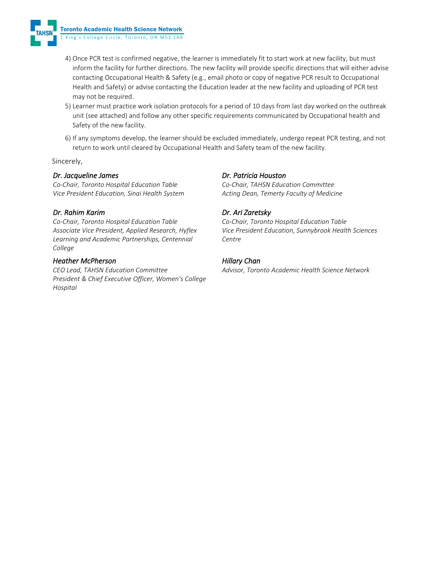

- 4) Once PCR test is confirmed negative, the learner is immediately fit to start work at new facility, but must inform the facility for further directions. The new facility will provide specific directions that will either advise contacting Occupational Health & Safety (e.g., email photo or copy of negative PCR result to Occupational Health and Safety) or advise contacting the Education leader at the new facility and uploading of PCR test may not be required.
- 5) Learner must practice work isolation protocols for a period of 10 days from last day worked on the outbreak unit (see attached) and follow any other specific requirements communicated by Occupational health and Safety of the new facility.
- 6) If any symptoms develop, the learner should be excluded immediately, undergo repeat PCR testing, and not return to work until cleared by Occupational Health and Safety team of the new facility.

Sincerely,

### *Dr. Jacqueline James*

*Co-Chair, Toronto Hospital Education Table Vice President Education, Sinai Health System* 

### *Dr. Rahim Karim*

*Co-Chair, Toronto Hospital Education Table Associate Vice President, Applied Research, Hyflex Learning and Academic Partnerships, Centennial College*

#### *Heather McPherson*

*CEO Lead, TAHSN Education Committee President & Chief Executive Officer, Women's College Hospital* 

### *Dr. Patricia Houston*

*Co-Chair, TAHSN Education Committee Acting Dean, Temerty Faculty of Medicine*

## *Dr. Ari Zaretsky*

*Co-Chair, Toronto Hospital Education Table Vice President Education, Sunnybrook Health Sciences Centre*

### *Hillary Chan*

*Advisor, Toronto Academic Health Science Network*